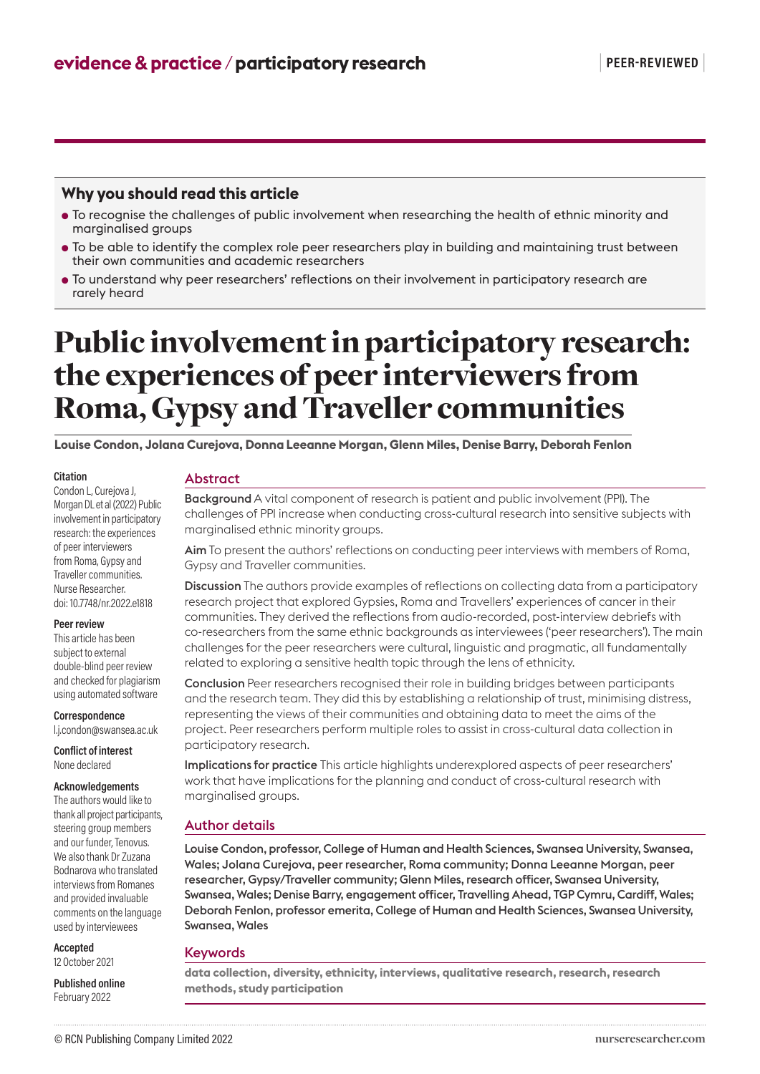# **Why you should read this article**

- To recognise the challenges of public involvement when researching the health of ethnic minority and marginalised groups
- To be able to identify the complex role peer researchers play in building and maintaining trust between their own communities and academic researchers
- To understand why peer researchers' reflections on their involvement in participatory research are rarely heard

# Public involvement in participatory research: the experiences of peer interviewers from Roma, Gypsy and Traveller communities

**Louise Condon, Jolana Curejova, Donna Leeanne Morgan, Glenn Miles, Denise Barry, Deborah Fenlon**

#### **Citation**

Condon L, Curejova J, Morgan DL et al (2022) Public involvement in participatory research: the experiences of peer interviewers from Roma, Gypsy and Traveller communities. Nurse Researcher. doi: 10.7748/nr.2022.e1818

#### **Peer review**

This article has been subject to external double-blind peer review and checked for plagiarism using automated software

**Correspondence**

l.j.condon@swansea.ac.uk

**Conflict of interest** None declared

**Acknowledgements**

The authors would like to thank all project participants, steering group members and our funder, Tenovus. We also thank Dr Zuzana Bodnarova who translated interviews from Romanes and provided invaluable comments on the language used by interviewees

**Accepted** 12 October 2021

**Published online** February 2022

## Abstract

Background A vital component of research is patient and public involvement (PPI). The challenges of PPI increase when conducting cross-cultural research into sensitive subjects with marginalised ethnic minority groups.

Aim To present the authors' reflections on conducting peer interviews with members of Roma, Gypsy and Traveller communities.

Discussion The authors provide examples of reflections on collecting data from a participatory research project that explored Gypsies, Roma and Travellers' experiences of cancer in their communities. They derived the reflections from audio-recorded, post-interview debriefs with co-researchers from the same ethnic backgrounds as interviewees ('peer researchers'). The main challenges for the peer researchers were cultural, linguistic and pragmatic, all fundamentally related to exploring a sensitive health topic through the lens of ethnicity.

Conclusion Peer researchers recognised their role in building bridges between participants and the research team. They did this by establishing a relationship of trust, minimising distress, representing the views of their communities and obtaining data to meet the aims of the project. Peer researchers perform multiple roles to assist in cross-cultural data collection in participatory research.

Implications for practice This article highlights underexplored aspects of peer researchers' work that have implications for the planning and conduct of cross-cultural research with marginalised groups.

# Author details

Louise Condon, professor, College of Human and Health Sciences, Swansea University, Swansea, Wales; Jolana Curejova, peer researcher, Roma community; Donna Leeanne Morgan, peer researcher, Gypsy/Traveller community; Glenn Miles, research officer, Swansea University, Swansea, Wales; Denise Barry, engagement officer, Travelling Ahead, TGP Cymru, Cardiff, Wales; Deborah Fenlon, professor emerita, College of Human and Health Sciences, Swansea University, Swansea, Wales

# Keywords

**data collection, diversity, ethnicity, interviews, qualitative research, research, research methods, study participation**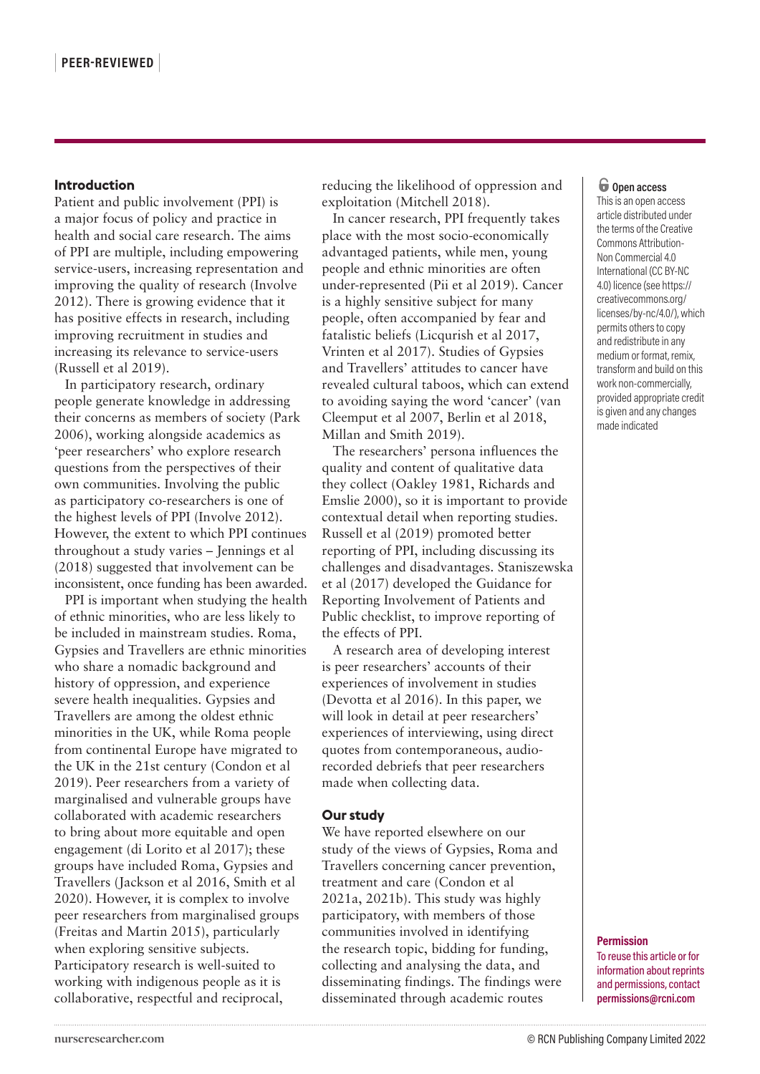# **Introduction**

Patient and public involvement (PPI) is a major focus of policy and practice in health and social care research. The aims of PPI are multiple, including empowering service-users, increasing representation and improving the quality of research (Involve 2012). There is growing evidence that it has positive effects in research, including improving recruitment in studies and increasing its relevance to service-users (Russell et al 2019).

In participatory research, ordinary people generate knowledge in addressing their concerns as members of society (Park 2006), working alongside academics as 'peer researchers' who explore research questions from the perspectives of their own communities. Involving the public as participatory co-researchers is one of the highest levels of PPI (Involve 2012). However, the extent to which PPI continues throughout a study varies – Jennings et al (2018) suggested that involvement can be inconsistent, once funding has been awarded.

PPI is important when studying the health of ethnic minorities, who are less likely to be included in mainstream studies. Roma, Gypsies and Travellers are ethnic minorities who share a nomadic background and history of oppression, and experience severe health inequalities. Gypsies and Travellers are among the oldest ethnic minorities in the UK, while Roma people from continental Europe have migrated to the UK in the 21st century (Condon et al 2019). Peer researchers from a variety of marginalised and vulnerable groups have collaborated with academic researchers to bring about more equitable and open engagement (di Lorito et al 2017); these groups have included Roma, Gypsies and Travellers (Jackson et al 2016, Smith et al 2020). However, it is complex to involve peer researchers from marginalised groups (Freitas and Martin 2015), particularly when exploring sensitive subjects. Participatory research is well-suited to working with indigenous people as it is collaborative, respectful and reciprocal,

reducing the likelihood of oppression and exploitation (Mitchell 2018).

In cancer research, PPI frequently takes place with the most socio-economically advantaged patients, while men, young people and ethnic minorities are often under-represented (Pii et al 2019). Cancer is a highly sensitive subject for many people, often accompanied by fear and fatalistic beliefs (Licqurish et al 2017, Vrinten et al 2017). Studies of Gypsies and Travellers' attitudes to cancer have revealed cultural taboos, which can extend to avoiding saying the word 'cancer' (van Cleemput et al 2007, Berlin et al 2018, Millan and Smith 2019).

The researchers' persona influences the quality and content of qualitative data they collect (Oakley 1981, Richards and Emslie 2000), so it is important to provide contextual detail when reporting studies. Russell et al (2019) promoted better reporting of PPI, including discussing its challenges and disadvantages. Staniszewska et al (2017) developed the Guidance for Reporting Involvement of Patients and Public checklist, to improve reporting of the effects of PPI.

A research area of developing interest is peer researchers' accounts of their experiences of involvement in studies (Devotta et al 2016). In this paper, we will look in detail at peer researchers' experiences of interviewing, using direct quotes from contemporaneous, audiorecorded debriefs that peer researchers made when collecting data.

# **Our study**

We have reported elsewhere on our study of the views of Gypsies, Roma and Travellers concerning cancer prevention, treatment and care (Condon et al 2021a, 2021b). This study was highly participatory, with members of those communities involved in identifying the research topic, bidding for funding, collecting and analysing the data, and disseminating findings. The findings were disseminated through academic routes

## o **Open access**

This is an open access article distributed under the terms of the Creative Commons Attribution-Non Commercial 4.0 International (CC BY-NC 4.0) licence (see https:// creativecommons.org/ licenses/by-nc/4.0/), which permits others to copy and redistribute in any medium or format, remix, transform and build on this work non-commercially, provided appropriate credit is given and any changes made indicated

#### **Permission**

To reuse this article or for information about reprints and permissions, contact **permissions@rcni.com**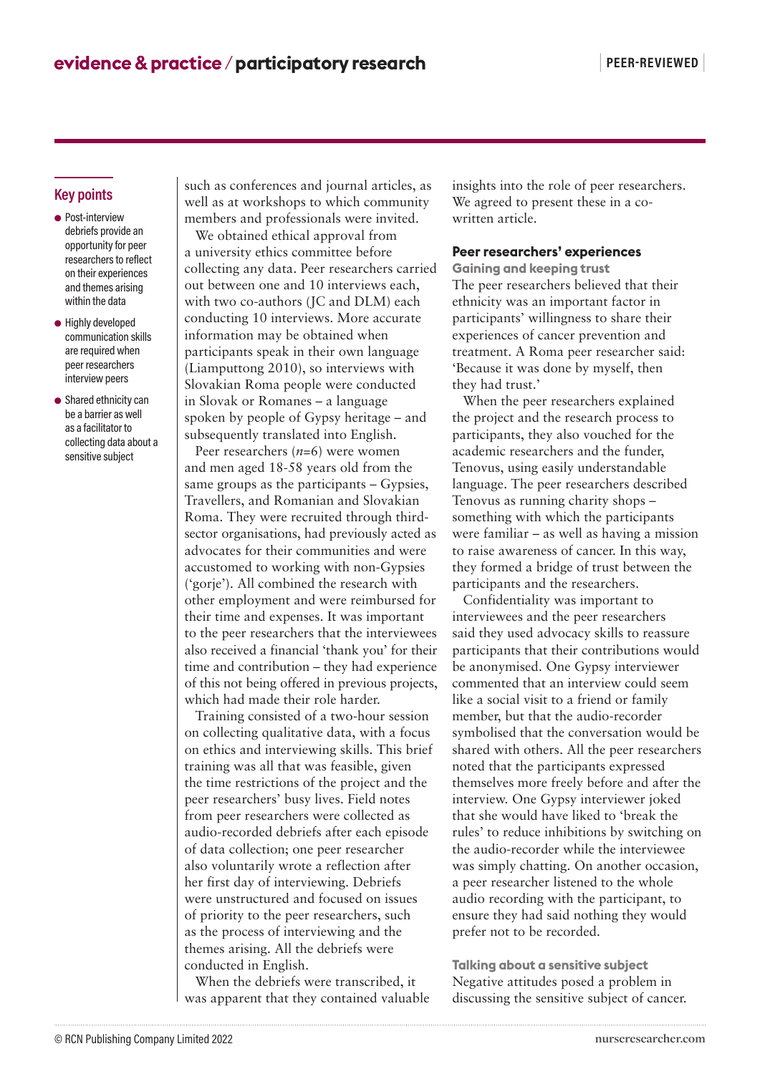# **Key points**

- Post-interview debriefs provide an opportunity for peer researchers to reflect on their experiences and themes arising within the data
- Highly developed communication skills are required when peer researchers interview peers
- Shared ethnicity can be a barrier as well as a facilitator to collecting data about a sensitive subject

such as conferences and journal articles, as well as at workshops to which community members and professionals were invited.

We obtained ethical approval from a university ethics committee before collecting any data. Peer researchers carried out between one and 10 interviews each, with two co-authors (JC and DLM) each conducting 10 interviews. More accurate information may be obtained when participants speak in their own language (Liamputtong 2010), so interviews with Slovakian Roma people were conducted in Slovak or Romanes – a language spoken by people of Gypsy heritage – and subsequently translated into English.

Peer researchers (*n*=6) were women and men aged 18-58 years old from the same groups as the participants – Gypsies, Travellers, and Romanian and Slovakian Roma. They were recruited through thirdsector organisations, had previously acted as advocates for their communities and were accustomed to working with non-Gypsies ('gorje'). All combined the research with other employment and were reimbursed for their time and expenses. It was important to the peer researchers that the interviewees also received a financial 'thank you' for their time and contribution – they had experience of this not being offered in previous projects, which had made their role harder.

Training consisted of a two-hour session on collecting qualitative data, with a focus on ethics and interviewing skills. This brief training was all that was feasible, given the time restrictions of the project and the peer researchers' busy lives. Field notes from peer researchers were collected as audio-recorded debriefs after each episode of data collection; one peer researcher also voluntarily wrote a reflection after her first day of interviewing. Debriefs were unstructured and focused on issues of priority to the peer researchers, such as the process of interviewing and the themes arising. All the debriefs were conducted in English.

When the debriefs were transcribed, it was apparent that they contained valuable insights into the role of peer researchers. We agreed to present these in a cowritten article.

## **Peer researchers' experiences**

**Gaining and keeping trust** The peer researchers believed that their ethnicity was an important factor in participants' willingness to share their experiences of cancer prevention and treatment. A Roma peer researcher said: 'Because it was done by myself, then they had trust.'

When the peer researchers explained the project and the research process to participants, they also vouched for the academic researchers and the funder, Tenovus, using easily understandable language. The peer researchers described Tenovus as running charity shops – something with which the participants were familiar – as well as having a mission to raise awareness of cancer. In this way, they formed a bridge of trust between the participants and the researchers.

Confidentiality was important to interviewees and the peer researchers said they used advocacy skills to reassure participants that their contributions would be anonymised. One Gypsy interviewer commented that an interview could seem like a social visit to a friend or family member, but that the audio-recorder symbolised that the conversation would be shared with others. All the peer researchers noted that the participants expressed themselves more freely before and after the interview. One Gypsy interviewer joked that she would have liked to 'break the rules' to reduce inhibitions by switching on the audio-recorder while the interviewee was simply chatting. On another occasion, a peer researcher listened to the whole audio recording with the participant, to ensure they had said nothing they would prefer not to be recorded.

**Talking about a sensitive subject** Negative attitudes posed a problem in discussing the sensitive subject of cancer.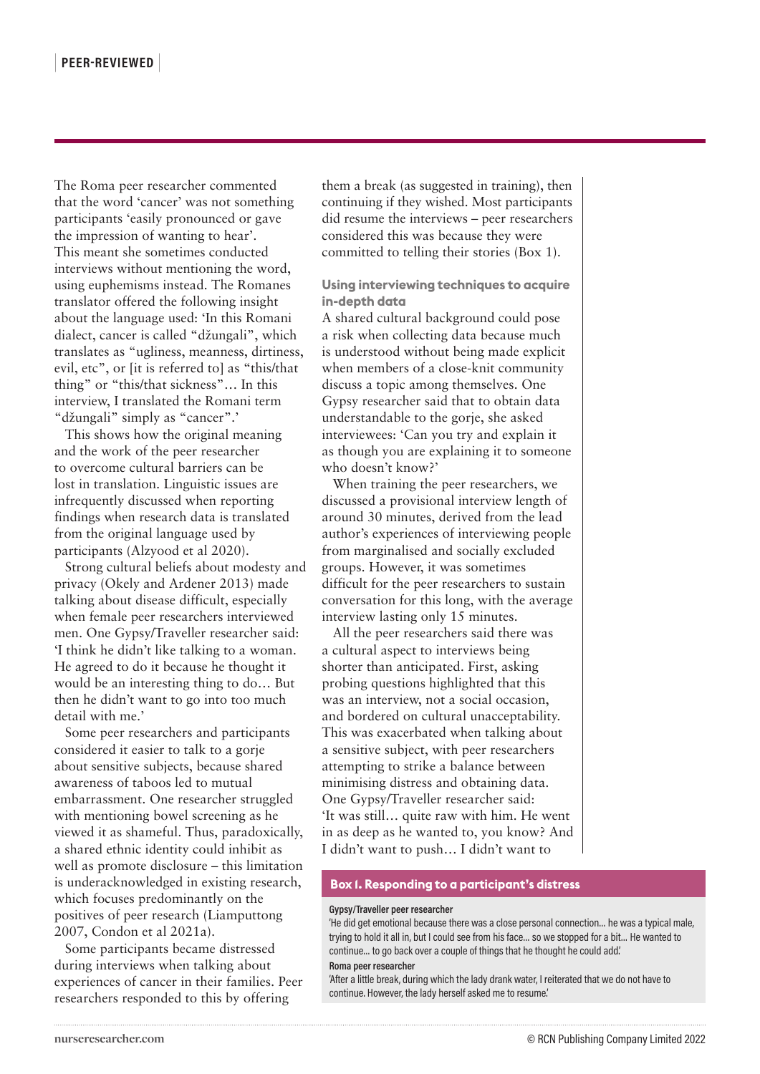The Roma peer researcher commented that the word 'cancer' was not something participants 'easily pronounced or gave the impression of wanting to hear'. This meant she sometimes conducted interviews without mentioning the word, using euphemisms instead. The Romanes translator offered the following insight about the language used: 'In this Romani dialect, cancer is called "džungali", which translates as "ugliness, meanness, dirtiness, evil, etc", or [it is referred to] as "this/that thing" or "this/that sickness"… In this interview, I translated the Romani term "džungali" simply as "cancer".'

This shows how the original meaning and the work of the peer researcher to overcome cultural barriers can be lost in translation. Linguistic issues are infrequently discussed when reporting findings when research data is translated from the original language used by participants (Alzyood et al 2020).

Strong cultural beliefs about modesty and privacy (Okely and Ardener 2013) made talking about disease difficult, especially when female peer researchers interviewed men. One Gypsy/Traveller researcher said: 'I think he didn't like talking to a woman. He agreed to do it because he thought it would be an interesting thing to do… But then he didn't want to go into too much detail with me.'

Some peer researchers and participants considered it easier to talk to a gorje about sensitive subjects, because shared awareness of taboos led to mutual embarrassment. One researcher struggled with mentioning bowel screening as he viewed it as shameful. Thus, paradoxically, a shared ethnic identity could inhibit as well as promote disclosure – this limitation is underacknowledged in existing research, which focuses predominantly on the positives of peer research (Liamputtong 2007, Condon et al 2021a).

Some participants became distressed during interviews when talking about experiences of cancer in their families. Peer researchers responded to this by offering

them a break (as suggested in training), then continuing if they wished. Most participants did resume the interviews – peer researchers considered this was because they were committed to telling their stories (Box 1).

# **Using interviewing techniques to acquire in-depth data**

A shared cultural background could pose a risk when collecting data because much is understood without being made explicit when members of a close-knit community discuss a topic among themselves. One Gypsy researcher said that to obtain data understandable to the gorje, she asked interviewees: 'Can you try and explain it as though you are explaining it to someone who doesn't know?'

When training the peer researchers, we discussed a provisional interview length of around 30 minutes, derived from the lead author's experiences of interviewing people from marginalised and socially excluded groups. However, it was sometimes difficult for the peer researchers to sustain conversation for this long, with the average interview lasting only 15 minutes.

All the peer researchers said there was a cultural aspect to interviews being shorter than anticipated. First, asking probing questions highlighted that this was an interview, not a social occasion, and bordered on cultural unacceptability. This was exacerbated when talking about a sensitive subject, with peer researchers attempting to strike a balance between minimising distress and obtaining data. One Gypsy/Traveller researcher said: 'It was still… quite raw with him. He went in as deep as he wanted to, you know? And I didn't want to push… I didn't want to

#### **Box 1. Responding to a participant's distress**

#### **Gypsy/Traveller peer researcher**

'He did get emotional because there was a close personal connection… he was a typical male, trying to hold it all in, but I could see from his face… so we stopped for a bit… He wanted to continue… to go back over a couple of things that he thought he could add.' **Roma peer researcher**

'After a little break, during which the lady drank water, I reiterated that we do not have to continue. However, the lady herself asked me to resume.'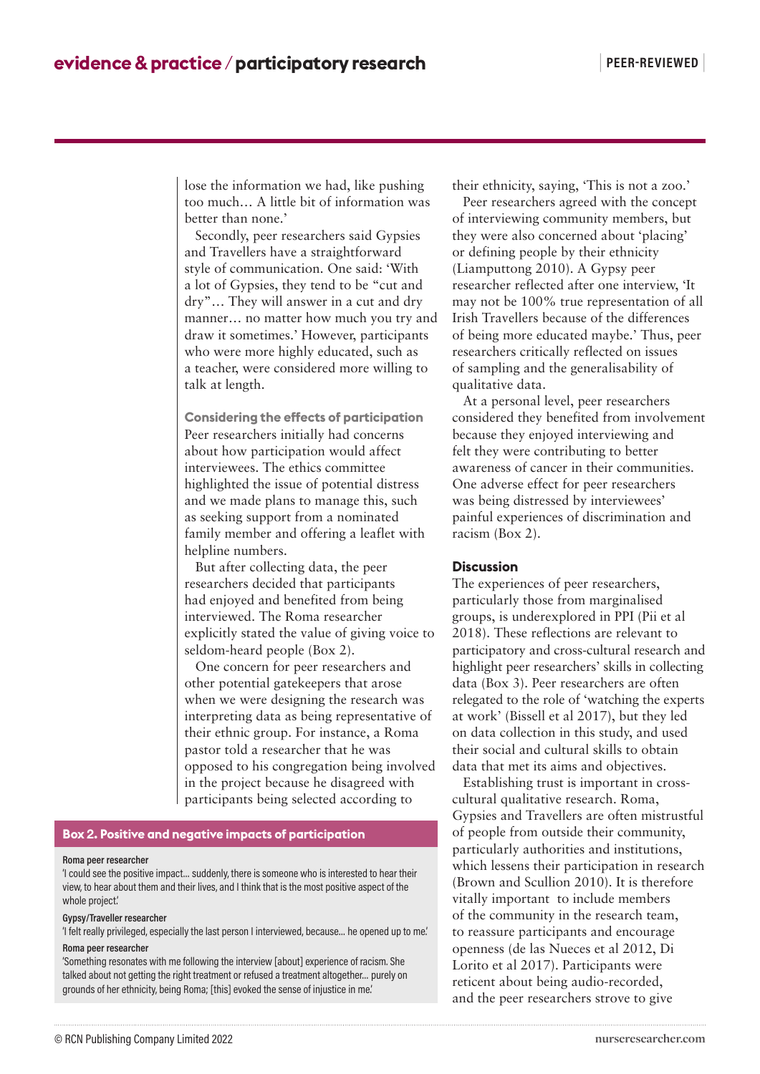lose the information we had, like pushing too much… A little bit of information was better than none.'

Secondly, peer researchers said Gypsies and Travellers have a straightforward style of communication. One said: 'With a lot of Gypsies, they tend to be "cut and dry"… They will answer in a cut and dry manner… no matter how much you try and draw it sometimes.' However, participants who were more highly educated, such as a teacher, were considered more willing to talk at length.

**Considering the effects of participation** Peer researchers initially had concerns about how participation would affect interviewees. The ethics committee highlighted the issue of potential distress and we made plans to manage this, such as seeking support from a nominated family member and offering a leaflet with helpline numbers.

But after collecting data, the peer researchers decided that participants had enjoyed and benefited from being interviewed. The Roma researcher explicitly stated the value of giving voice to seldom-heard people (Box 2).

One concern for peer researchers and other potential gatekeepers that arose when we were designing the research was interpreting data as being representative of their ethnic group. For instance, a Roma pastor told a researcher that he was opposed to his congregation being involved in the project because he disagreed with participants being selected according to

# **Box 2. Positive and negative impacts of participation**

#### **Roma peer researcher**

'I could see the positive impact… suddenly, there is someone who is interested to hear their view, to hear about them and their lives, and I think that is the most positive aspect of the whole project.'

#### **Gypsy/Traveller researcher**

'I felt really privileged, especially the last person I interviewed, because… he opened up to me.' **Roma peer researcher**

'Something resonates with me following the interview [about] experience of racism. She talked about not getting the right treatment or refused a treatment altogether… purely on grounds of her ethnicity, being Roma; [this] evoked the sense of injustice in me.'

their ethnicity, saying, 'This is not a zoo.'

Peer researchers agreed with the concept of interviewing community members, but they were also concerned about 'placing' or defining people by their ethnicity (Liamputtong 2010). A Gypsy peer researcher reflected after one interview, 'It may not be 100% true representation of all Irish Travellers because of the differences of being more educated maybe.' Thus, peer researchers critically reflected on issues of sampling and the generalisability of qualitative data.

At a personal level, peer researchers considered they benefited from involvement because they enjoyed interviewing and felt they were contributing to better awareness of cancer in their communities. One adverse effect for peer researchers was being distressed by interviewees' painful experiences of discrimination and racism (Box 2).

### **Discussion**

The experiences of peer researchers, particularly those from marginalised groups, is underexplored in PPI (Pii et al 2018). These reflections are relevant to participatory and cross-cultural research and highlight peer researchers' skills in collecting data (Box 3). Peer researchers are often relegated to the role of 'watching the experts at work' (Bissell et al 2017), but they led on data collection in this study, and used their social and cultural skills to obtain data that met its aims and objectives.

Establishing trust is important in crosscultural qualitative research. Roma, Gypsies and Travellers are often mistrustful of people from outside their community, particularly authorities and institutions, which lessens their participation in research (Brown and Scullion 2010). It is therefore vitally important to include members of the community in the research team, to reassure participants and encourage openness (de las Nueces et al 2012, Di Lorito et al 2017). Participants were reticent about being audio-recorded, and the peer researchers strove to give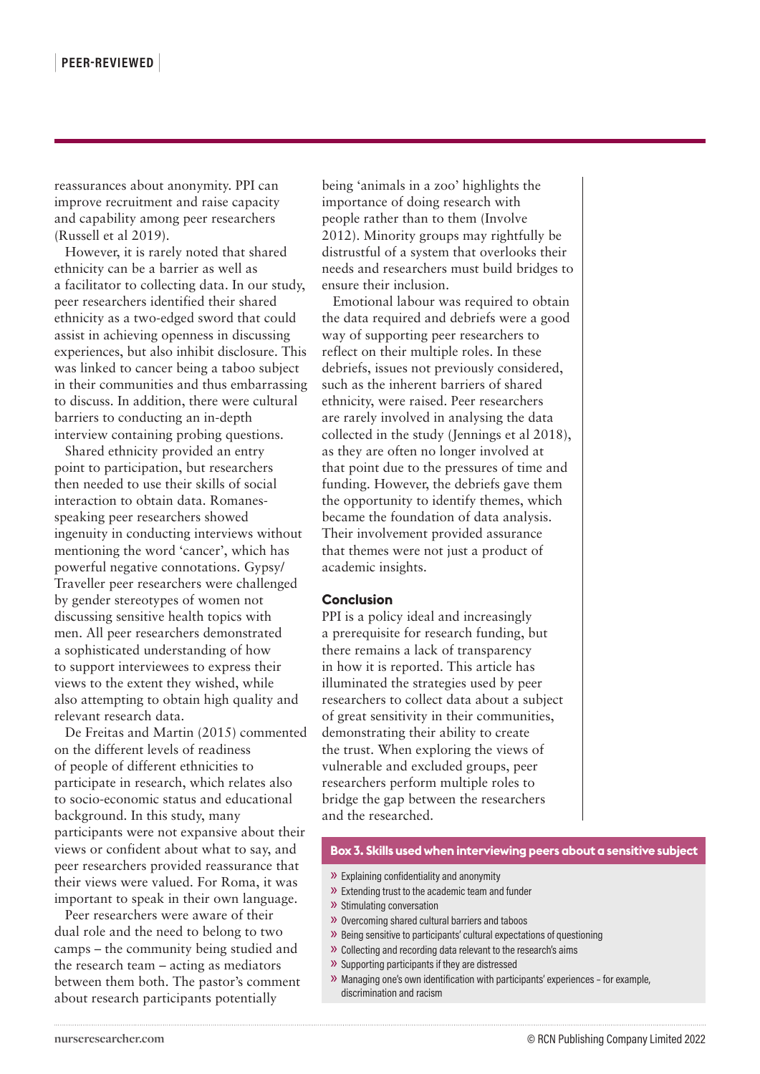reassurances about anonymity. PPI can improve recruitment and raise capacity and capability among peer researchers (Russell et al 2019).

However, it is rarely noted that shared ethnicity can be a barrier as well as a facilitator to collecting data. In our study, peer researchers identified their shared ethnicity as a two-edged sword that could assist in achieving openness in discussing experiences, but also inhibit disclosure. This was linked to cancer being a taboo subject in their communities and thus embarrassing to discuss. In addition, there were cultural barriers to conducting an in-depth interview containing probing questions.

Shared ethnicity provided an entry point to participation, but researchers then needed to use their skills of social interaction to obtain data. Romanesspeaking peer researchers showed ingenuity in conducting interviews without mentioning the word 'cancer', which has powerful negative connotations. Gypsy/ Traveller peer researchers were challenged by gender stereotypes of women not discussing sensitive health topics with men. All peer researchers demonstrated a sophisticated understanding of how to support interviewees to express their views to the extent they wished, while also attempting to obtain high quality and relevant research data.

De Freitas and Martin (2015) commented on the different levels of readiness of people of different ethnicities to participate in research, which relates also to socio-economic status and educational background. In this study, many participants were not expansive about their views or confident about what to say, and peer researchers provided reassurance that their views were valued. For Roma, it was important to speak in their own language.

Peer researchers were aware of their dual role and the need to belong to two camps – the community being studied and the research team – acting as mediators between them both. The pastor's comment about research participants potentially

being 'animals in a zoo' highlights the importance of doing research with people rather than to them (Involve 2012). Minority groups may rightfully be distrustful of a system that overlooks their needs and researchers must build bridges to ensure their inclusion.

Emotional labour was required to obtain the data required and debriefs were a good way of supporting peer researchers to reflect on their multiple roles. In these debriefs, issues not previously considered, such as the inherent barriers of shared ethnicity, were raised. Peer researchers are rarely involved in analysing the data collected in the study (Jennings et al 2018), as they are often no longer involved at that point due to the pressures of time and funding. However, the debriefs gave them the opportunity to identify themes, which became the foundation of data analysis. Their involvement provided assurance that themes were not just a product of academic insights.

### **Conclusion**

PPI is a policy ideal and increasingly a prerequisite for research funding, but there remains a lack of transparency in how it is reported. This article has illuminated the strategies used by peer researchers to collect data about a subject of great sensitivity in their communities, demonstrating their ability to create the trust. When exploring the views of vulnerable and excluded groups, peer researchers perform multiple roles to bridge the gap between the researchers and the researched.

#### **Box 3. Skills used when interviewing peers about a sensitive subject**

- » Explaining confidentiality and anonymity
- » Extending trust to the academic team and funder
- » Stimulating conversation
- » Overcoming shared cultural barriers and taboos
- » Being sensitive to participants' cultural expectations of questioning
- » Collecting and recording data relevant to the research's aims
- » Supporting participants if they are distressed
- » Managing one's own identification with participants' experiences for example, discrimination and racism